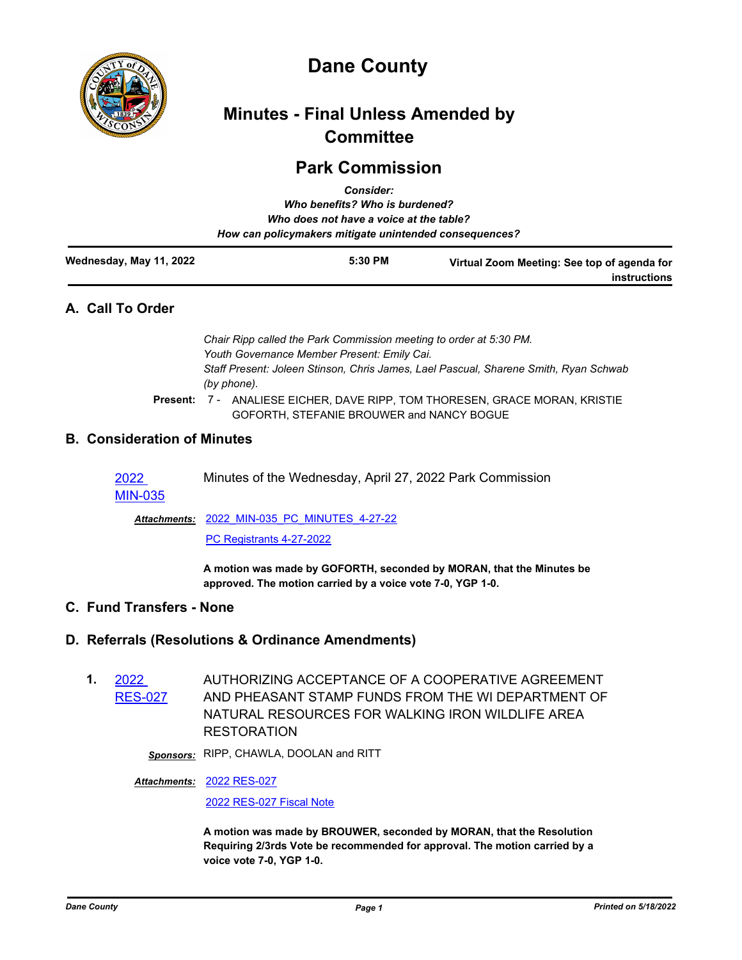

# **Dane County**

# **Minutes - Final Unless Amended by Committee**

# **Park Commission**

|                         | <b>Consider:</b>                                       |                                             |
|-------------------------|--------------------------------------------------------|---------------------------------------------|
|                         | Who benefits? Who is burdened?                         |                                             |
|                         | Who does not have a voice at the table?                |                                             |
|                         | How can policymakers mitigate unintended consequences? |                                             |
| Wednesday, May 11, 2022 | $5:30$ PM                                              | Virtual Zoom Meeting: See top of agenda for |

# **A. Call To Order**

*Chair Ripp called the Park Commission meeting to order at 5:30 PM. Youth Governance Member Present: Emily Cai. Staff Present: Joleen Stinson, Chris James, Lael Pascual, Sharene Smith, Ryan Schwab (by phone).*

Present: 7 - ANALIESE EICHER, DAVE RIPP, TOM THORESEN, GRACE MORAN, KRISTIE GOFORTH, STEFANIE BROUWER and NANCY BOGUE

# **B. Consideration of Minutes**

2022 Minutes of the Wednesday, April 27, 2022 Park Commission

[MIN-035](http://dane.legistar.com/gateway.aspx?m=l&id=/matter.aspx?key=22837)

[2022\\_MIN-035\\_PC\\_MINUTES\\_4-27-22](http://dane.legistar.com/gateway.aspx?M=F&ID=1df454ef-3b69-4ea0-86e2-1e9e149baa3e.pdf) *Attachments:* [PC Registrants 4-27-2022](http://dane.legistar.com/gateway.aspx?M=F&ID=e269b59d-bc86-4839-8cf9-53ae70307cc0.pdf)

> **A motion was made by GOFORTH, seconded by MORAN, that the Minutes be approved. The motion carried by a voice vote 7-0, YGP 1-0.**

# **C. Fund Transfers - None**

## **D. Referrals (Resolutions & Ordinance Amendments)**

**1.** 2022 ES-027 AUTHORIZING ACCEPTANCE OF A COOPERATIVE AGREEMENT AND PHEASANT STAMP FUNDS FROM THE WI DEPARTMENT OF NATURAL RESOURCES FOR WALKING IRON WILDLIFE AREA RESTORATION

*Sponsors:* RIPP, CHAWLA, DOOLAN and RITT

## [2022 RES-027](http://dane.legistar.com/gateway.aspx?M=F&ID=58d7a1ff-da08-4526-a955-9bf975a3752c.pdf) *Attachments:*

[2022 RES-027 Fiscal Note](http://dane.legistar.com/gateway.aspx?M=F&ID=f267444c-a6ba-43f8-9a55-df7c82ab03c7.pdf)

**A motion was made by BROUWER, seconded by MORAN, that the Resolution Requiring 2/3rds Vote be recommended for approval. The motion carried by a voice vote 7-0, YGP 1-0.**

**instructions**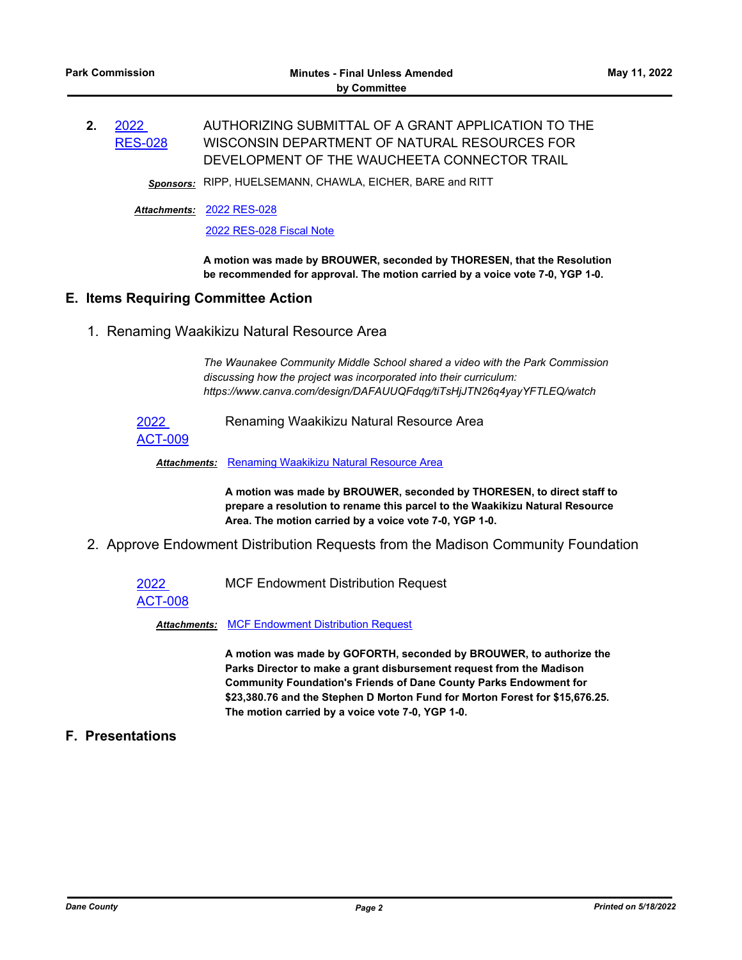#### **2.** 2022 [RES-028](http://dane.legistar.com/gateway.aspx?m=l&id=/matter.aspx?key=22833) AUTHORIZING SUBMITTAL OF A GRANT APPLICATION TO THE WISCONSIN DEPARTMENT OF NATURAL RESOURCES FOR DEVELOPMENT OF THE WAUCHEETA CONNECTOR TRAIL

*Sponsors:* RIPP, HUELSEMANN, CHAWLA, EICHER, BARE and RITT

[2022 RES-028](http://dane.legistar.com/gateway.aspx?M=F&ID=30716c98-d24d-48f9-8c17-7378b8cf2072.pdf) *Attachments:*

[2022 RES-028 Fiscal Note](http://dane.legistar.com/gateway.aspx?M=F&ID=3bec1e30-a0b5-40fb-9401-debcf02b7fdd.pdf)

**A motion was made by BROUWER, seconded by THORESEN, that the Resolution be recommended for approval. The motion carried by a voice vote 7-0, YGP 1-0.**

### **E. Items Requiring Committee Action**

1. Renaming Waakikizu Natural Resource Area

*The Waunakee Community Middle School shared a video with the Park Commission discussing how the project was incorporated into their curriculum: https://www.canva.com/design/DAFAUUQFdqg/tiTsHjJTN26q4yayYFTLEQ/watch*

2022

Renaming Waakikizu Natural Resource Area

[ACT-009](http://dane.legistar.com/gateway.aspx?m=l&id=/matter.aspx?key=22831)

**Attachments: [Renaming Waakikizu Natural Resource Area](http://dane.legistar.com/gateway.aspx?M=F&ID=c0fb49fd-04d9-49e4-9bcd-0af4620b1dff.pdf)** 

**A motion was made by BROUWER, seconded by THORESEN, to direct staff to prepare a resolution to rename this parcel to the Waakikizu Natural Resource Area. The motion carried by a voice vote 7-0, YGP 1-0.**

2. Approve Endowment Distribution Requests from the Madison Community Foundation

2022

MCF Endowment Distribution Request

[ACT-008](http://dane.legistar.com/gateway.aspx?m=l&id=/matter.aspx?key=22830)

*Attachments:* [MCF Endowment Distribution Request](http://dane.legistar.com/gateway.aspx?M=F&ID=7dbc4c02-86b9-499b-ab09-efdef25352c8.pdf)

**A motion was made by GOFORTH, seconded by BROUWER, to authorize the Parks Director to make a grant disbursement request from the Madison Community Foundation's Friends of Dane County Parks Endowment for \$23,380.76 and the Stephen D Morton Fund for Morton Forest for \$15,676.25. The motion carried by a voice vote 7-0, YGP 1-0.**

**F. Presentations**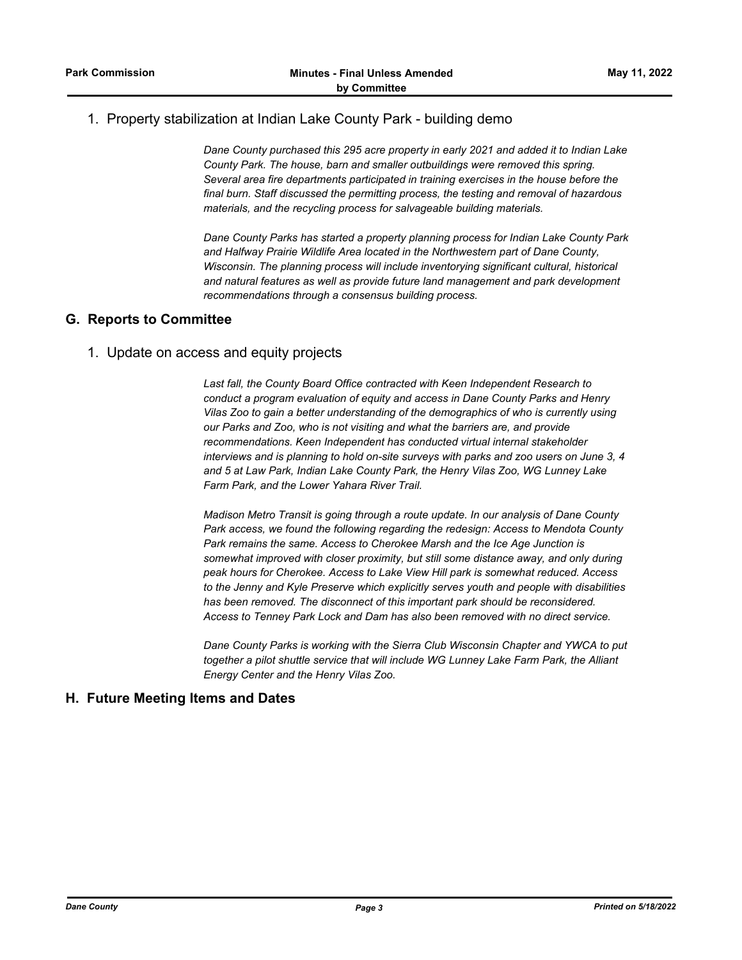# 1. Property stabilization at Indian Lake County Park - building demo

*Dane County purchased this 295 acre property in early 2021 and added it to Indian Lake County Park. The house, barn and smaller outbuildings were removed this spring. Several area fire departments participated in training exercises in the house before the final burn. Staff discussed the permitting process, the testing and removal of hazardous materials, and the recycling process for salvageable building materials.* 

*Dane County Parks has started a property planning process for Indian Lake County Park and Halfway Prairie Wildlife Area located in the Northwestern part of Dane County, Wisconsin. The planning process will include inventorying significant cultural, historical and natural features as well as provide future land management and park development recommendations through a consensus building process.*

### **G. Reports to Committee**

### 1. Update on access and equity projects

*Last fall, the County Board Office contracted with Keen Independent Research to conduct a program evaluation of equity and access in Dane County Parks and Henry Vilas Zoo to gain a better understanding of the demographics of who is currently using our Parks and Zoo, who is not visiting and what the barriers are, and provide recommendations. Keen Independent has conducted virtual internal stakeholder interviews and is planning to hold on-site surveys with parks and zoo users on June 3, 4 and 5 at Law Park, Indian Lake County Park, the Henry Vilas Zoo, WG Lunney Lake Farm Park, and the Lower Yahara River Trail.*

*Madison Metro Transit is going through a route update. In our analysis of Dane County Park access, we found the following regarding the redesign: Access to Mendota County Park remains the same. Access to Cherokee Marsh and the Ice Age Junction is somewhat improved with closer proximity, but still some distance away, and only during peak hours for Cherokee. Access to Lake View Hill park is somewhat reduced. Access to the Jenny and Kyle Preserve which explicitly serves youth and people with disabilities has been removed. The disconnect of this important park should be reconsidered. Access to Tenney Park Lock and Dam has also been removed with no direct service.*

*Dane County Parks is working with the Sierra Club Wisconsin Chapter and YWCA to put together a pilot shuttle service that will include WG Lunney Lake Farm Park, the Alliant Energy Center and the Henry Vilas Zoo.*

## **H. Future Meeting Items and Dates**